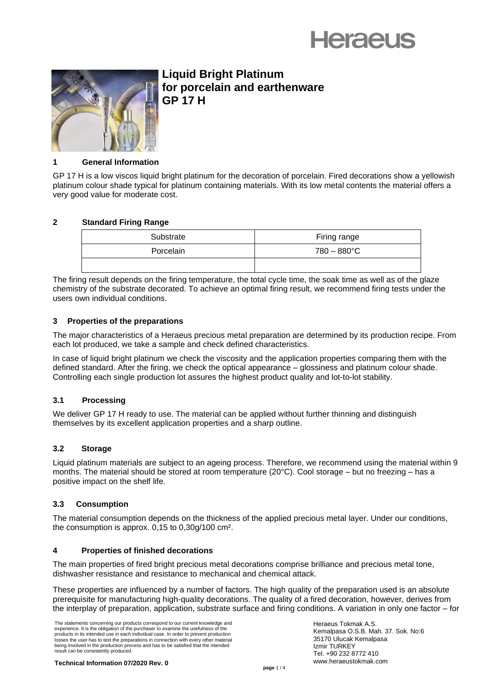



# **Liquid Bright Platinum for porcelain and earthenware GP 17 H**

# **1 General Information**

GP 17 H is a low viscos liquid bright platinum for the decoration of porcelain. Fired decorations show a yellowish platinum colour shade typical for platinum containing materials. With its low metal contents the material offers a very good value for moderate cost.

# **2 Standard Firing Range**

| Substrate | Firing range          |
|-----------|-----------------------|
| Porcelain | $780 - 880^{\circ}$ C |
|           |                       |

The firing result depends on the firing temperature, the total cycle time, the soak time as well as of the glaze chemistry of the substrate decorated. To achieve an optimal firing result, we recommend firing tests under the users own individual conditions.

# **3 Properties of the preparations**

The major characteristics of a Heraeus precious metal preparation are determined by its production recipe. From each lot produced, we take a sample and check defined characteristics.

In case of liquid bright platinum we check the viscosity and the application properties comparing them with the defined standard. After the firing, we check the optical appearance – glossiness and platinum colour shade. Controlling each single production lot assures the highest product quality and lot-to-lot stability.

# **3.1 Processing**

We deliver GP 17 H ready to use. The material can be applied without further thinning and distinguish themselves by its excellent application properties and a sharp outline.

# **3.2 Storage**

Liquid platinum materials are subject to an ageing process. Therefore, we recommend using the material within 9 months. The material should be stored at room temperature (20°C). Cool storage – but no freezing – has a positive impact on the shelf life.

# **3.3 Consumption**

The material consumption depends on the thickness of the applied precious metal layer. Under our conditions, the consumption is approx. 0,15 to 0,30g/100 cm².

# **4 Properties of finished decorations**

The main properties of fired bright precious metal decorations comprise brilliance and precious metal tone, dishwasher resistance and resistance to mechanical and chemical attack.

These properties are influenced by a number of factors. The high quality of the preparation used is an absolute prerequisite for manufacturing high-quality decorations. The quality of a fired decoration, however, derives from the interplay of preparation, application, substrate surface and firing conditions. A variation in only one factor – for

The statements concerning our products correspond to our current knowledge and experience. It is the obligation of the purchaser to examine the usefulness of the products in its intended use in each individual case. In order to prevent production losses the user has to test the preparations in connection with every other material being involved in the production process and has to be satisfied that the intended result can be consistently produced.

Heraeus Tokmak A.S. Kemalpasa O.S.B. Mah. 37. Sok. No:6 35170 Ulucak Kemalpasa Izmir TURKEY Tel. +90 232 8772 410 www.heraeustokmak.com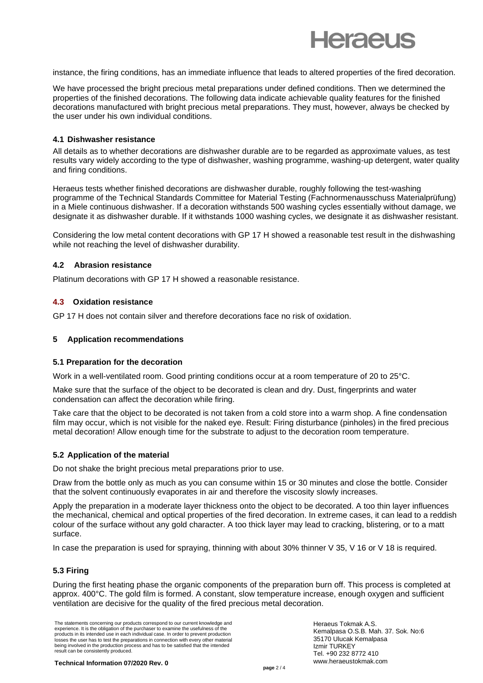

instance, the firing conditions, has an immediate influence that leads to altered properties of the fired decoration.

We have processed the bright precious metal preparations under defined conditions. Then we determined the properties of the finished decorations. The following data indicate achievable quality features for the finished decorations manufactured with bright precious metal preparations. They must, however, always be checked by the user under his own individual conditions.

#### **4.1 Dishwasher resistance**

All details as to whether decorations are dishwasher durable are to be regarded as approximate values, as test results vary widely according to the type of dishwasher, washing programme, washing-up detergent, water quality and firing conditions.

Heraeus tests whether finished decorations are dishwasher durable, roughly following the test-washing programme of the Technical Standards Committee for Material Testing (Fachnormenausschuss Materialprüfung) in a Miele continuous dishwasher. If a decoration withstands 500 washing cycles essentially without damage, we designate it as dishwasher durable. If it withstands 1000 washing cycles, we designate it as dishwasher resistant.

Considering the low metal content decorations with GP 17 H showed a reasonable test result in the dishwashing while not reaching the level of dishwasher durability.

#### **4.2 Abrasion resistance**

Platinum decorations with GP 17 H showed a reasonable resistance.

#### **4.3 Oxidation resistance**

GP 17 H does not contain silver and therefore decorations face no risk of oxidation.

#### **5 Application recommendations**

#### **5.1 Preparation for the decoration**

Work in a well-ventilated room. Good printing conditions occur at a room temperature of 20 to 25°C.

Make sure that the surface of the object to be decorated is clean and dry. Dust, fingerprints and water condensation can affect the decoration while firing.

Take care that the object to be decorated is not taken from a cold store into a warm shop. A fine condensation film may occur, which is not visible for the naked eye. Result: Firing disturbance (pinholes) in the fired precious metal decoration! Allow enough time for the substrate to adjust to the decoration room temperature.

#### **5.2 Application of the material**

Do not shake the bright precious metal preparations prior to use.

Draw from the bottle only as much as you can consume within 15 or 30 minutes and close the bottle. Consider that the solvent continuously evaporates in air and therefore the viscosity slowly increases.

Apply the preparation in a moderate layer thickness onto the object to be decorated. A too thin layer influences the mechanical, chemical and optical properties of the fired decoration. In extreme cases, it can lead to a reddish colour of the surface without any gold character. A too thick layer may lead to cracking, blistering, or to a matt surface.

In case the preparation is used for spraying, thinning with about 30% thinner V 35, V 16 or V 18 is required.

# **5.3 Firing**

During the first heating phase the organic components of the preparation burn off. This process is completed at approx. 400°C. The gold film is formed. A constant, slow temperature increase, enough oxygen and sufficient ventilation are decisive for the quality of the fired precious metal decoration.

The statements concerning our products correspond to our current knowledge and experience. It is the obligation of the purchaser to examine the usefulness of the products in its intended use in each individual case. In order to prevent production losses the user has to test the preparations in connection with every other material being involved in the production process and has to be satisfied that the intended result can be consistently produced.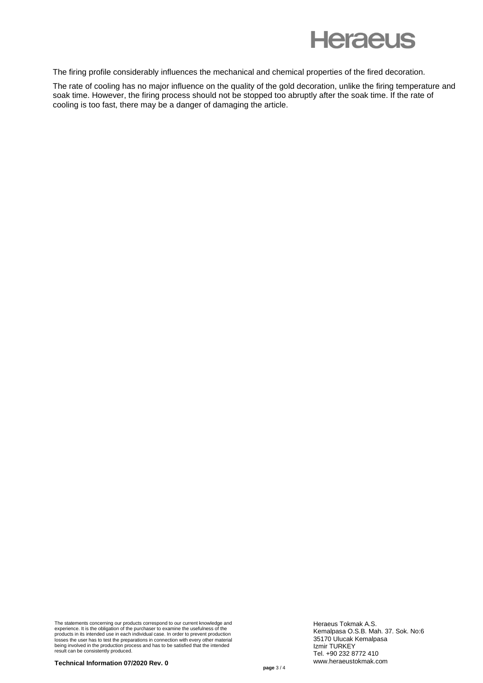

The firing profile considerably influences the mechanical and chemical properties of the fired decoration.

The rate of cooling has no major influence on the quality of the gold decoration, unlike the firing temperature and soak time. However, the firing process should not be stopped too abruptly after the soak time. If the rate of cooling is too fast, there may be a danger of damaging the article.

The statements concerning our products correspond to our current knowledge and<br>experience. It is the obligation of the purchaser to examine the usefulness of the<br>products in its intended use in each individual case. In ord being involved in the production process and has to be satisfied that the intended result can be consistently produced.